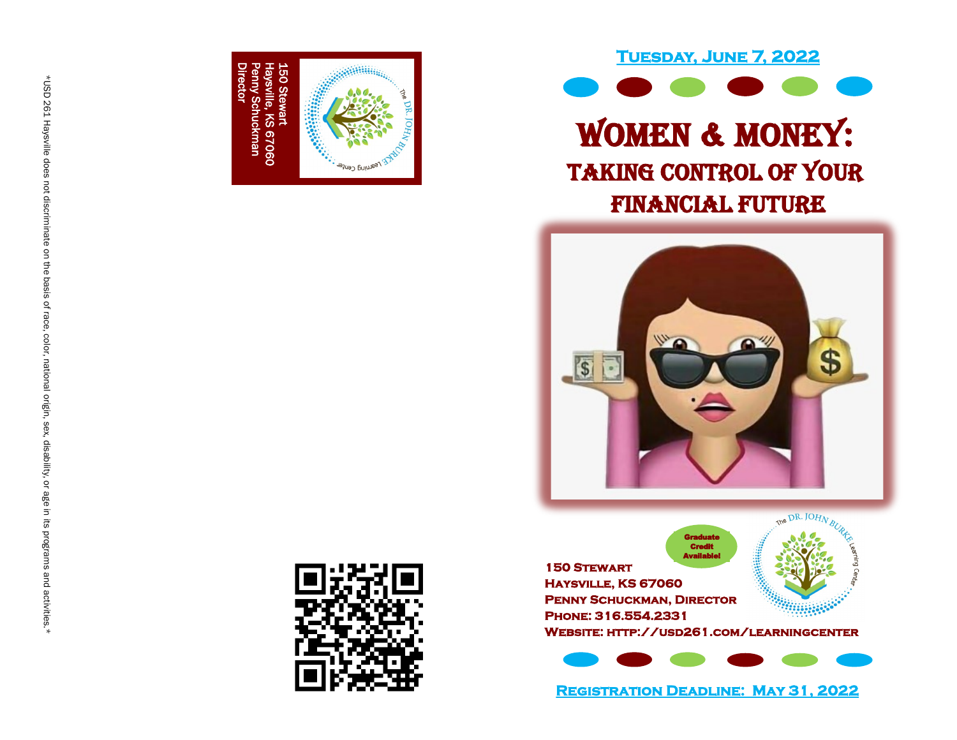

**Tuesday, June 7, 2022** 



## Women & Money: TAKING CONTROL OF YOUR<br>FINANCIAL FUTURE



**150 Stewart Haysville, KS 67060 Penny Schuckman, Director Phone: 316.554.2331**  Credit Available!

**Website: http://usd261.com/learningcenter** 

**Basica** 

Graduate

The DR. JOHN<sub>BI</sub>



**Registration Deadline: May 31, 2022**